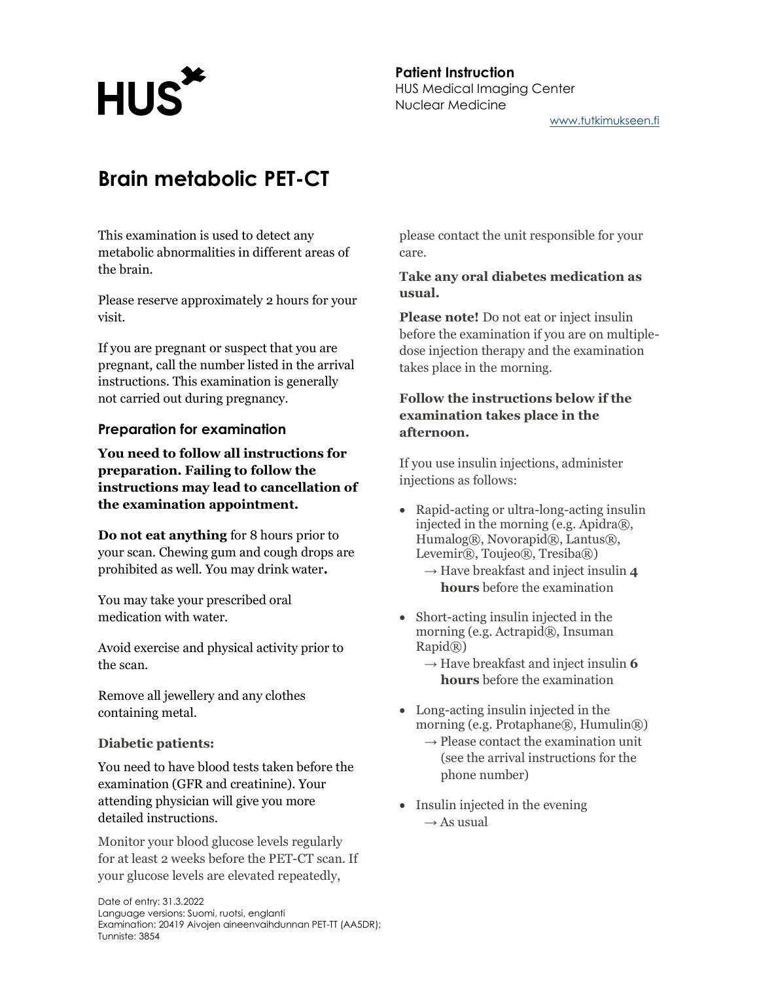# **HUS**

Patient Instruction HUS Medical Imaging Center Nuclear Medicine www.tutkimukseen.fi

# Brain metabolic PET-CT

This examination is used to detect any metabolic abnormalities in different areas of the brain.

Please reserve approximately 2 hours for your visit.

If you are pregnant or suspect that you are pregnant, call the number listed in the arrival instructions. This examination is generally not carried out during pregnancy.

### Preparation for examination

You need to follow all instructions for preparation. Failing to follow the instructions may lead to cancellation of the examination appointment.

Do not eat anything for 8 hours prior to your scan. Chewing gum and cough drops are prohibited as well. You may drink water.

You may take your prescribed oral medication with water.

Avoid exercise and physical activity prior to the scan.

Remove all jewellery and any clothes containing metal.

### Diabetic patients:

You need to have blood tests taken before the examination (GFR and creatinine). Your attending physician will give you more detailed instructions.

Monitor your blood glucose levels regularly for at least 2 weeks before the PET-CT scan. If your glucose levels are elevated repeatedly,

please contact the unit responsible for your care.

### Take any oral diabetes medication as usual.

Please note! Do not eat or inject insulin before the examination if you are on multipledose injection therapy and the examination takes place in the morning.

### Follow the instructions below if the examination takes place in the afternoon.

If you use insulin injections, administer injections as follows:

- Rapid-acting or ultra-long-acting insulin injected in the morning (e.g. Apidra®, Humalog®, Novorapid®, Lantus®, Levemir®, Toujeo®, Tresiba®)
	- $\rightarrow$  Have breakfast and inject insulin 4 hours before the examination
- Short-acting insulin injected in the morning (e.g. Actrapid®, Insuman Rapid®)
	- $\rightarrow$  Have breakfast and inject insulin 6 hours before the examination
- Long-acting insulin injected in the morning (e.g. Protaphane®, Humulin®)
	- $\rightarrow$  Please contact the examination unit (see the arrival instructions for the phone number)
- Insulin injected in the evening  $\rightarrow$  As usual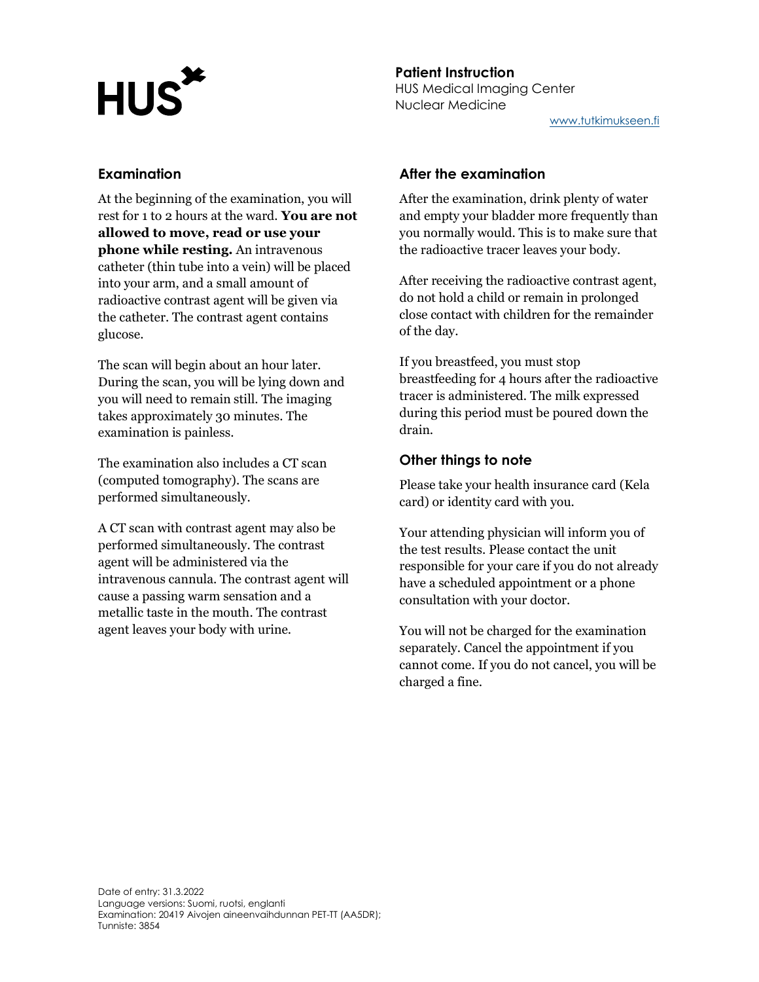# **HUS**

#### Patient Instruction HUS Medical Imaging Center Nuclear Medicine www.tutkimukseen.fi

### Examination

At the beginning of the examination, you will rest for 1 to 2 hours at the ward. You are not allowed to move, read or use your phone while resting. An intravenous catheter (thin tube into a vein) will be placed into your arm, and a small amount of radioactive contrast agent will be given via the catheter. The contrast agent contains glucose.

The scan will begin about an hour later. During the scan, you will be lying down and you will need to remain still. The imaging takes approximately 30 minutes. The examination is painless.

The examination also includes a CT scan (computed tomography). The scans are performed simultaneously.

A CT scan with contrast agent may also be performed simultaneously. The contrast agent will be administered via the intravenous cannula. The contrast agent will cause a passing warm sensation and a metallic taste in the mouth. The contrast agent leaves your body with urine.

## After the examination

After the examination, drink plenty of water and empty your bladder more frequently than you normally would. This is to make sure that the radioactive tracer leaves your body.

After receiving the radioactive contrast agent, do not hold a child or remain in prolonged close contact with children for the remainder of the day.

If you breastfeed, you must stop breastfeeding for 4 hours after the radioactive tracer is administered. The milk expressed during this period must be poured down the drain.

### Other things to note

Please take your health insurance card (Kela card) or identity card with you.

Your attending physician will inform you of the test results. Please contact the unit responsible for your care if you do not already have a scheduled appointment or a phone consultation with your doctor.

You will not be charged for the examination separately. Cancel the appointment if you cannot come. If you do not cancel, you will be charged a fine.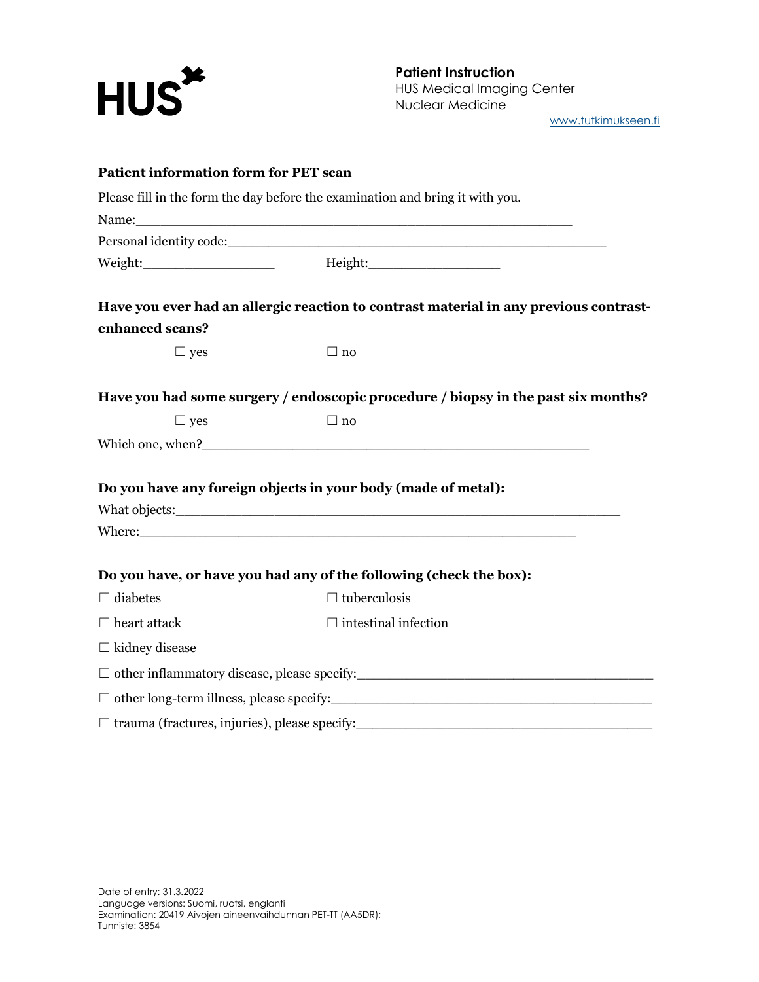

Patient Instruction HUS Medical Imaging Center Nuclear Medicine

www.tutkimukseen.fi

| <b>Patient information form for PET scan</b>         |                                                                                                |
|------------------------------------------------------|------------------------------------------------------------------------------------------------|
|                                                      | Please fill in the form the day before the examination and bring it with you.                  |
|                                                      | Name: Name:                                                                                    |
|                                                      |                                                                                                |
|                                                      |                                                                                                |
|                                                      | Have you ever had an allergic reaction to contrast material in any previous contrast-          |
| enhanced scans?                                      |                                                                                                |
| $\Box$ yes                                           | $\Box$ no                                                                                      |
|                                                      | Have you had some surgery / endoscopic procedure / biopsy in the past six months?              |
| $\Box$ yes                                           | $\Box$ no                                                                                      |
|                                                      |                                                                                                |
|                                                      |                                                                                                |
|                                                      | Do you have any foreign objects in your body (made of metal):                                  |
|                                                      |                                                                                                |
|                                                      |                                                                                                |
|                                                      | Do you have, or have you had any of the following (check the box):                             |
| $\Box$ diabetes                                      | $\Box$ tuberculosis                                                                            |
| $\Box$ heart attack                                  | $\Box$ intestinal infection                                                                    |
| $\Box$ kidney disease                                |                                                                                                |
|                                                      | □ other inflammatory disease, please specify:<br>□ other inflammatory disease, please specify: |
|                                                      | □ other long-term illness, please specify:<br>□ other long-term illness, please specify:       |
| $\Box$ trauma (fractures, injuries), please specify: |                                                                                                |